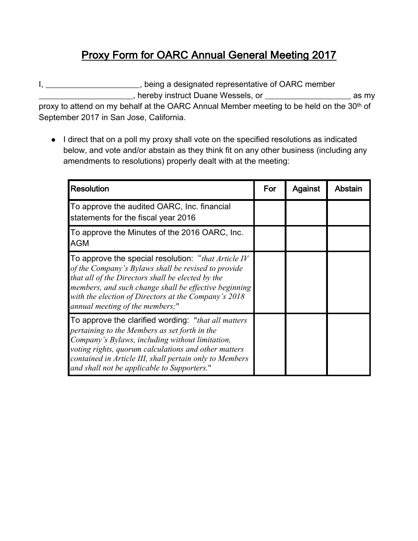## Proxy Form for OARC Annual General Meeting 2017

I, \_\_\_\_\_\_\_\_\_\_\_\_\_\_\_\_\_\_\_\_\_\_\_, being a designated representative of OARC member \_\_\_\_\_\_\_\_\_\_\_\_\_\_\_\_\_\_\_\_\_\_\_, hereby instruct Duane Wessels, or \_\_\_\_\_\_\_\_\_\_\_\_\_\_\_\_\_\_\_\_\_ as my

proxy to attend on my behalf at the OARC Annual Member meeting to be held on the 30<sup>th</sup> of September 2017 in San Jose, California.

• I direct that on a poll my proxy shall vote on the specified resolutions as indicated below, and vote and/or abstain as they think fit on any other business (including any amendments to resolutions) properly dealt with at the meeting:

| <b>Resolution</b>                                                                                                                                                                                                                                                                                                          | For | Against | Abstain |
|----------------------------------------------------------------------------------------------------------------------------------------------------------------------------------------------------------------------------------------------------------------------------------------------------------------------------|-----|---------|---------|
| To approve the audited OARC, Inc. financial<br>statements for the fiscal year 2016                                                                                                                                                                                                                                         |     |         |         |
| To approve the Minutes of the 2016 OARC, Inc.<br>AGM                                                                                                                                                                                                                                                                       |     |         |         |
| To approve the special resolution: "that Article IV<br>of the Company's Bylaws shall be revised to provide<br>that all of the Directors shall be elected by the<br>members, and such change shall be effective beginning<br>with the election of Directors at the Company's 2018<br>annual meeting of the members;"        |     |         |         |
| To approve the clarified wording: "that all matters"<br>pertaining to the Members as set forth in the<br>Company's Bylaws, including without limitation,<br>voting rights, quorum calculations and other matters<br>contained in Article III, shall pertain only to Members<br>and shall not be applicable to Supporters." |     |         |         |